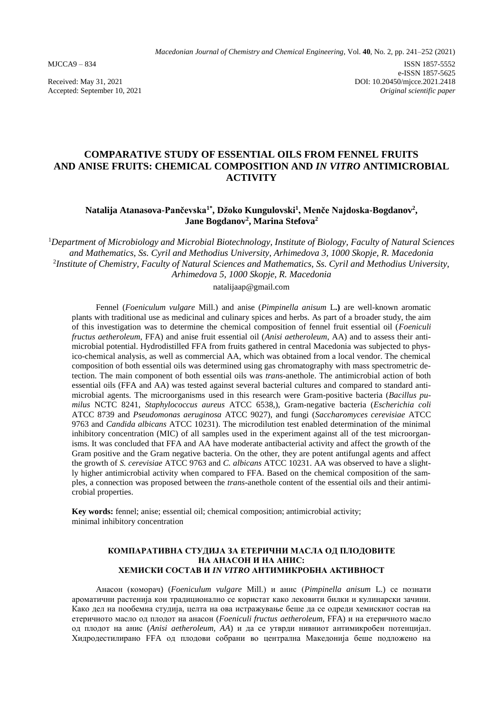Accepted: September 10, 2021

# **COMPARATIVE STUDY OF ESSENTIAL OILS FROM FENNEL FRUITS AND ANISE FRUITS: CHEMICAL COMPOSITION AND** *IN VITRO* **ANTIMICROBIAL ACTIVITY**

## **Natalija Atanasova-Pančevska1\*, Džoko Kungulovski<sup>1</sup> , Menče Najdoska-Bogdanov<sup>2</sup> , Jane Bogdanov<sup>2</sup> , Marina Stefova<sup>2</sup>**

<sup>1</sup>*Department of Microbiology and Microbial Biotechnology, Institute of Biology, Faculty of Natural Sciences and Mathematics, Ss. Cyril and Methodius University, Arhimedova 3, 1000 Skopje, R. Macedonia* 2 *Institute of Chemistry, Faculty of Natural Sciences and Mathematics, Ss. Cyril and Methodius University, Arhimedova 5, 1000 Skopje, R. Macedonia*

[natalijaap@gmail.com](mailto:natalijaap@gmail.com)

Fennel (*Foeniculum vulgare* Mill.) and anise (*Pimpinella anisum* L**.)** are well-known aromatic plants with traditional use as medicinal and culinary spices and herbs. As part of a broader study, the aim of this investigation was to determine the chemical composition of fennel fruit essential oil (*Foeniculi fructus aetheroleum*, FFA) and anise fruit essential oil (*Anisi aetheroleum*, AA) and to assess their antimicrobial potential. Hydrodistilled FFA from fruits gathered in central Macedonia was subjected to physico-chemical analysis, as well as commercial AA, which was obtained from a local vendor. The chemical composition of both essential oils was determined using gas chromatography with mass spectrometric detection. The main component of both essential oils was *trans*-anethole. The antimicrobial action of both essential oils (FFA and AA) was tested against several bacterial cultures and compared to standard antimicrobial agents. The microorganisms used in this research were Gram-positive bacteria (*Bacillus pumilus* NCTC 8241, *Staphylococcus aureus* ATCC 6538,), Gram-negative bacteria (*Escherichia coli*  ATCC 8739 and *Pseudomonas aeruginosa* ATCC 9027), and fungi (*Saccharomyces cerevisiae* ATCC 9763 and *Candida albicans* ATCC 10231). The microdilution test enabled determination of the minimal inhibitory concentration (MIC) of all samples used in the experiment against all of the test microorganisms. It was concluded that FFA and AA have moderate antibacterial activity and affect the growth of the Gram positive and the Gram negative bacteria. On the other, they are potent antifungal agents and affect the growth of *S. cerevisiae* ATCC 9763 and *C. albicans* ATCC 10231. AA was observed to have a slightly higher antimicrobial activity when compared to FFA. Based on the chemical composition of the samples, a connection was proposed between the *trans*-anethole content of the essential oils and their antimicrobial properties.

**Key words:** fennel; anise; essential oil; chemical composition; antimicrobial activity; minimal inhibitory concentration

### **КОМПАРАТИВНА СТУДИЈА ЗА ЕТЕРИЧНИ МАСЛА ОД ПЛОДОВИТЕ НА АНАСОН И НА АНИС: ХЕМИСКИ СОСТАВ И** *IN VITRO* **АНТИМИКРОБНА АКТИВНОСТ**

Анасон (коморач) (*Foeniculum vulgare* Mill.) и анис (*Pimpinella anisum* L.) се познати ароматични растенија кои традиционално се користат како лековити билки и кулинарски зачини. Како дел на пообемна студија, целта на ова истражување беше да се одреди хемискиот состав на етеричното масло од плодот на анасон (*Foeniculi fructus aetheroleum*, FFA) и на етеричното масло од плодот на анис (*Anisi aetheroleum, AA*) и да се утврди нивниот антимикробен потенцијал. Хидродестилирано FFA од плодови собрани во централна Македонија беше подложено на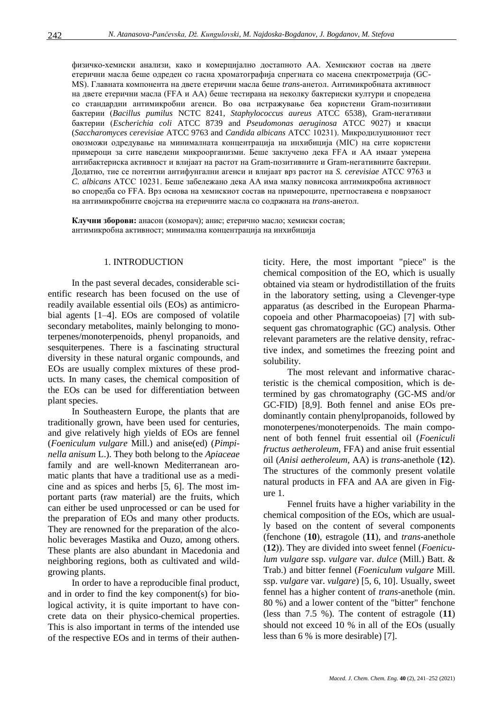физичко-хемиски анализи, како и комерцијално достапното АА. Хемискиот состав на двете етерични масла беше одреден со гасна хроматографија спрегната со масена спектрометрија (GC-MS). Главната компонента на двете етерични масла беше *trans*-анетол. Антимикробната активност на двете етерични масла (FFA и AA) беше тестирана на неколку бактериски култури и споредена со стандардни антимикробни агенси. Во ова истражување беа користени Gram-позитивни бактерии (*Bacillus pumilus* NCTC 8241, *Staphylococcus aureus* ATCC 6538), Gram-негативни бактерии (*Escherichia coli* ATCC 8739 and *Pseudomonas aeruginosa* ATCC 9027) и квасци (*Saccharomyces cerevisiae* ATCC 9763 and *Candida albicans* ATCC 10231). Микродилуциониот тест овозможи одредување на минималната концентрација на инхибиција (MIC) на сите користени примероци за сите наведени микроорганизми. Беше заклучено дека FFA и AA имаат умерена антибактериска активност и влијаат на растот на Gram-позитивните и Gram-негативните бактерии. Додатно, тие се потентни антифунгални агенси и влијаат врз растот на *S. cerevisiae* ATCC 9763 и *C. albicans* ATCC 10231. Беше забележано дека AA има малку повисока антимикробна активност во споредба со FFA. Врз основа на хемискиот состав на примероците, претпоставена е поврзаност на антимикробните својства на етеричните масла со содржната на *trans*-анетол.

**Клучни зборови:** анасон (коморач); анис; етерично масло; хемиски состав; антимикробна активност; минимална концентрација на инхибиција

#### 1. INTRODUCTION

In the past several decades, considerable scientific research has been focused on the use of readily available essential oils (EOs) as antimicrobial agents [1–4]. EOs are composed of volatile secondary metabolites, mainly belonging to monoterpenes/monoterpenoids, phenyl propanoids, and sesquiterpenes. There is a fascinating structural diversity in these natural organic compounds, and EOs are usually complex mixtures of these products. In many cases, the chemical composition of the EOs can be used for differentiation between plant species.

In Southeastern Europe, the plants that are traditionally grown, have been used for centuries, and give relatively high yields of EOs are fennel (*Foeniculum vulgare* Mill.) and anise(ed) (*Pimpinella anisum* L.). They both belong to the *Apiaceae* family and are well-known Mediterranean aromatic plants that have a traditional use as a medicine and as spices and herbs [5, 6]. The most important parts (raw material) are the fruits, which can either be used unprocessed or can be used for the preparation of EOs and many other products. They are renowned for the preparation of the alcoholic beverages Mastika and Ouzo, among others. These plants are also abundant in Macedonia and neighboring regions, both as cultivated and wildgrowing plants.

In order to have a reproducible final product, and in order to find the key component(s) for biological activity, it is quite important to have concrete data on their physico-chemical properties. This is also important in terms of the intended use of the respective EOs and in terms of their authenticity. Here, the most important "piece" is the chemical composition of the EO, which is usually obtained via steam or hydrodistillation of the fruits in the laboratory setting, using a Clevenger-type apparatus (as described in the European Pharmacopoeia and other Pharmacopoeias) [7] with subsequent gas chromatographic (GC) analysis. Other relevant parameters are the relative density, refractive index, and sometimes the freezing point and solubility.

The most relevant and informative characteristic is the chemical composition, which is determined by gas chromatography (GC-MS and/or GC-FID) [8,9]. Both fennel and anise EOs predominantly contain phenylpropanoids, followed by monoterpenes/monoterpenoids. The main component of both fennel fruit essential oil (*Foeniculi fructus aetheroleum*, FFA) and anise fruit essential oil (*Anisi aetheroleum*, AA) is *trans*-anethole (**12**). The structures of the commonly present volatile natural products in FFA and AA are given in Figure 1.

Fennel fruits have a higher variability in the chemical composition of the EOs, which are usually based on the content of several components (fenchone (**10**), estragole (**11**), and *trans*-anethole (**12**)). They are divided into sweet fennel (*Foeniculum vulgare* ssp. *vulgare* var. *dulce* (Mill.) Batt. & Trab.) and bitter fennel (*Foeniculum vulgare* Mill. ssp. *vulgare* var. *vulgare*) [5, 6, 10]. Usually, sweet fennel has a higher content of *trans*-anethole (min. 80 %) and a lower content of the "bitter" fenchone (less than 7.5 %). The content of estragole (**11**) should not exceed 10 % in all of the EOs (usually less than 6 % is more desirable) [7].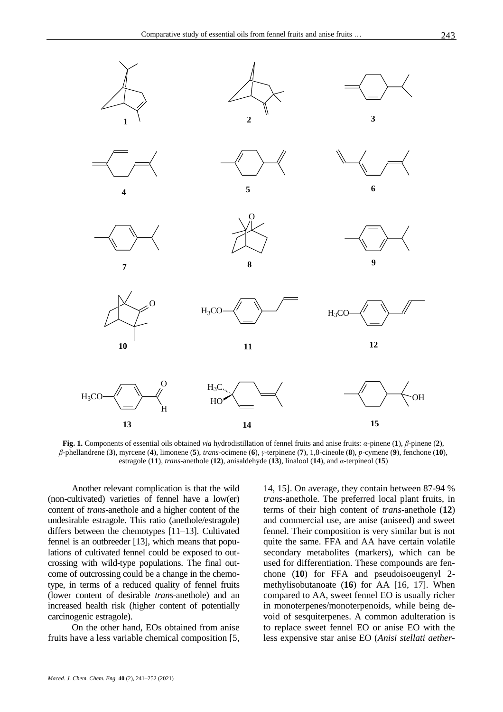

**Fig. 1.** Components of essential oils obtained *via* hydrodistillation of fennel fruits and anise fruits: *α*-pinene (**1**), *β*-pinene (**2**), *β*-phellandrene (**3**), myrcene (**4**), limonene (**5**), *trans*-ocimene (**6**), *γ*-terpinene (**7**), 1,8-cineole (**8**), *p*-cymene (**9**), fenchone (**10**), estragole (**11**), *trans*-anethole (**12**), anisaldehyde (**13**), linalool (**14**), and *α*-terpineol (**15**)

Another relevant complication is that the wild (non-cultivated) varieties of fennel have a low(er) content of *trans*-anethole and a higher content of the undesirable estragole. This ratio (anethole/estragole) differs between the chemotypes [11–13]. Cultivated fennel is an outbreeder [13], which means that populations of cultivated fennel could be exposed to outcrossing with wild-type populations. The final outcome of outcrossing could be a change in the chemotype, in terms of a reduced quality of fennel fruits (lower content of desirable *trans*-anethole) and an increased health risk (higher content of potentially carcinogenic estragole).

On the other hand, EOs obtained from anise fruits have a less variable chemical composition [5, 14, 15]. On average, they contain between 87-94 % *trans*-anethole. The preferred local plant fruits, in terms of their high content of *trans*-anethole (**12**) and commercial use, are anise (aniseed) and sweet fennel. Their composition is very similar but is not quite the same. FFA and AA have certain volatile secondary metabolites (markers), which can be used for differentiation. These compounds are fenchone (**10**) for FFA and pseudoisoeugenyl 2 methylisobutanoate (**16**) for AA [16, 17]. When compared to AA, sweet fennel EO is usually richer in monoterpenes/monoterpenoids, while being devoid of sesquiterpenes. A common adulteration is to replace sweet fennel EO or anise EO with the less expensive star anise EO (*Anisi stellati aether-*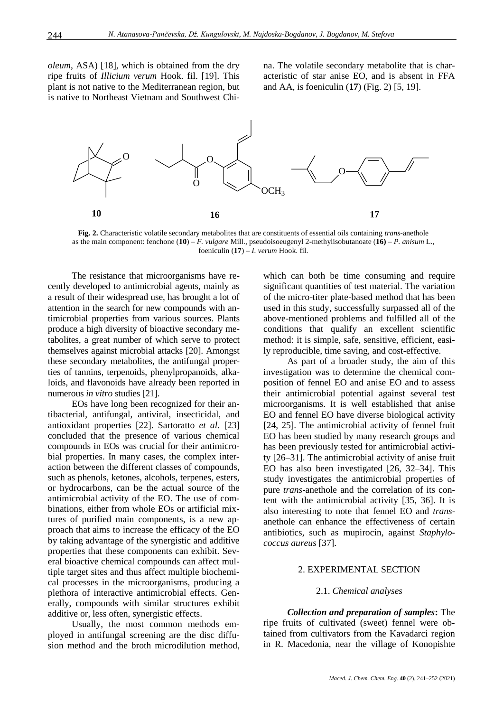*oleum*, ASA) [18], which is obtained from the dry ripe fruits of *Illicium verum* Hook. fil. [19]. This plant is not native to the Mediterranean region, but is native to Northeast Vietnam and Southwest China. The volatile secondary metabolite that is characteristic of star anise EO, and is absent in FFA and AA, is foeniculin (**17**) (Fig. 2) [5, 19].



**Fig. 2.** Characteristic volatile secondary metabolites that are constituents of essential oils containing *trans*-anethole as the main component: fenchone (**10**) – *F. vulgare* Mill., pseudoisoeugenyl 2-methylisobutanoate (**16)** – *P. anisum* L., foeniculin (**17**) – *I. verum* Hook. fil.

The resistance that microorganisms have recently developed to antimicrobial agents, mainly as a result of their widespread use, has brought a lot of attention in the search for new compounds with antimicrobial properties from various sources. Plants produce a high diversity of bioactive secondary metabolites, a great number of which serve to protect themselves against microbial attacks [20]. Amongst these secondary metabolites, the antifungal properties of tannins, terpenoids, phenylpropanoids, alkaloids, and flavonoids have already been reported in numerous *in vitro* studies [21].

EOs have long been recognized for their antibacterial, antifungal, antiviral, insecticidal, and antioxidant properties [22]. Sartoratto *et al.* [23] concluded that the presence of various chemical compounds in EOs was crucial for their antimicrobial properties. In many cases, the complex interaction between the different classes of compounds, such as phenols, ketones, alcohols, terpenes, esters, or hydrocarbons, can be the actual source of the antimicrobial activity of the EO. The use of combinations, either from whole EOs or artificial mixtures of purified main components, is a new approach that aims to increase the efficacy of the EO by taking advantage of the synergistic and additive properties that these components can exhibit. Several bioactive chemical compounds can affect multiple target sites and thus affect multiple biochemical processes in the microorganisms, producing a plethora of interactive antimicrobial effects. Generally, compounds with similar structures exhibit additive or, less often, synergistic effects.

Usually, the most common methods employed in antifungal screening are the disc diffusion method and the broth microdilution method, which can both be time consuming and require significant quantities of test material. The variation of the micro-titer plate-based method that has been used in this study, successfully surpassed all of the above-mentioned problems and fulfilled all of the conditions that qualify an excellent scientific method: it is simple, safe, sensitive, efficient, easily reproducible, time saving, and cost-effective.

As part of a broader study, the aim of this investigation was to determine the chemical composition of fennel EO and anise EO and to assess their antimicrobial potential against several test microorganisms. It is well established that anise EO and fennel EO have diverse biological activity [24, 25]. The antimicrobial activity of fennel fruit EO has been studied by many research groups and has been previously tested for antimicrobial activity [26–31]. The antimicrobial activity of anise fruit EO has also been investigated [26, 32–34]. This study investigates the antimicrobial properties of pure *trans*-anethole and the correlation of its content with the antimicrobial activity [35, 36]. It is also interesting to note that fennel EO and *trans*anethole can enhance the effectiveness of certain antibiotics, such as mupirocin, against *Staphylococcus aureus* [37].

## 2. EXPERIMENTAL SECTION

### 2.1. *Chemical analyses*

*Collection and preparation of samples***:** The ripe fruits of cultivated (sweet) fennel were obtained from cultivators from the Kavadarci region in R. Macedonia, near the village of Konopishte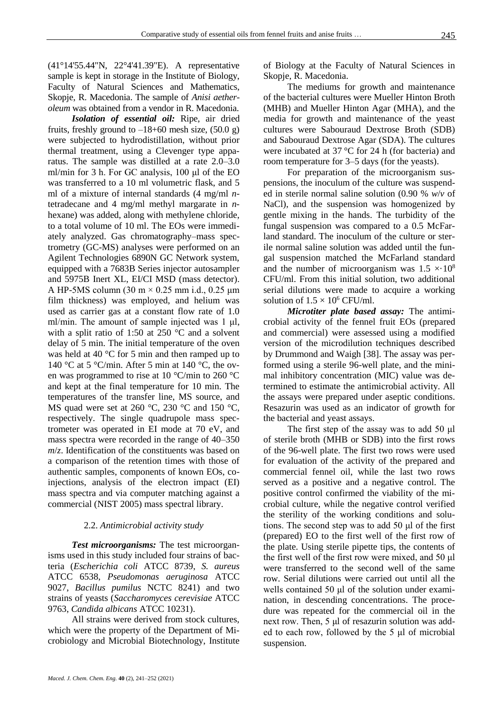(41°14'55.44"N, 22°4'41.39"E). A representative sample is kept in storage in the Institute of Biology, Faculty of Natural Sciences and Mathematics, Skopje, R. Macedonia. The sample of *Anisi aetheroleum* was obtained from a vendor in R. Macedonia.

*Isolation of essential oil:* Ripe, air dried fruits, freshly ground to  $-18+60$  mesh size, (50.0 g) were subjected to hydrodistillation, without prior thermal treatment, using a Clevenger type apparatus. The sample was distilled at a rate 2.0–3.0 ml/min for 3 h. For GC analysis, 100 μl of the EO was transferred to a 10 ml volumetric flask, and 5 ml of a mixture of internal standards (4 mg/ml *n*tetradecane and 4 mg/ml methyl margarate in *n*hexane) was added, along with methylene chloride, to a total volume of 10 ml. The EOs were immediately analyzed. Gas chromatography–mass spectrometry (GC-MS) analyses were performed on an Agilent Technologies 6890N GC Network system, equipped with a 7683B Series injector autosampler and 5975B Inert XL, EI/CI MSD (mass detector). A HP-5MS column  $(30 \text{ m} \times 0.25 \text{ mm} \text{ i.d., } 0.25 \text{ µm})$ film thickness) was employed, and helium was used as carrier gas at a constant flow rate of 1.0 ml/min. The amount of sample injected was 1 μl, with a split ratio of 1:50 at 250 °C and a solvent delay of 5 min. The initial temperature of the oven was held at 40 °C for 5 min and then ramped up to 140 °C at 5 °C/min. After 5 min at 140 °C, the oven was programmed to rise at 10 °C/min to 260 °C and kept at the final temperature for 10 min. The temperatures of the transfer line, MS source, and MS quad were set at 260 °C, 230 °C and 150 °C, respectively. The single quadrupole mass spectrometer was operated in EI mode at 70 eV, and mass spectra were recorded in the range of 40–350 *m*/*z*. Identification of the constituents was based on a comparison of the retention times with those of authentic samples, components of known EOs, coinjections, analysis of the electron impact (EI) mass spectra and via computer matching against a commercial (NIST 2005) mass spectral library.

## 2.2. *Antimicrobial activity study*

*Test microorganisms:* The test microorganisms used in this study included four strains of bacteria (*Escherichia coli* ATCC 8739, *S. aureus* ATCC 6538, *Pseudomonas aeruginosa* ATCC 9027, *Bacillus pumilus* NCTC 8241) and two strains of yeasts (*Saccharomyces cerevisiae* ATCC 9763, *Candida albicans* ATCC 10231).

All strains were derived from stock cultures, which were the property of the Department of Microbiology and Microbial Biotechnology, Institute

of Biology at the Faculty of Natural Sciences in Skopje, R. Macedonia.

The mediums for growth and maintenance of the bacterial cultures were Mueller Hinton Broth (MHB) and Mueller Hinton Agar (MHA), and the media for growth and maintenance of the yeast cultures were Sabouraud Dextrose Broth (SDB) and Sabouraud Dextrose Agar (SDA). The cultures were incubated at 37 °C for 24 h (for bacteria) and room temperature for 3–5 days (for the yeasts).

For preparation of the microorganism suspensions, the inoculum of the culture was suspended in sterile normal saline solution (0.90 % *w*/*v* of NaCl), and the suspension was homogenized by gentle mixing in the hands. The turbidity of the fungal suspension was compared to a 0.5 McFarland standard. The inoculum of the culture or sterile normal saline solution was added until the fungal suspension matched the McFarland standard and the number of microorganism was  $1.5 \times 10^8$ CFU/ml. From this initial solution, two additional serial dilutions were made to acquire a working solution of  $1.5 \times 10^6$  CFU/ml.

*Microtiter plate based assay:* The antimicrobial activity of the fennel fruit EOs (prepared and commercial) were assessed using a modified version of the microdilution techniques described by Drummond and Waigh [38]. The assay was performed using a sterile 96-well plate, and the minimal inhibitory concentration (MIC) value was determined to estimate the antimicrobial activity. All the assays were prepared under aseptic conditions. Resazurin was used as an indicator of growth for the bacterial and yeast assays.

The first step of the assay was to add 50 μl of sterile broth (MHB or SDB) into the first rows of the 96-well plate. The first two rows were used for evaluation of the activity of the prepared and commercial fennel oil, while the last two rows served as a positive and a negative control. The positive control confirmed the viability of the microbial culture, while the negative control verified the sterility of the working conditions and solutions. The second step was to add 50 μl of the first (prepared) EO to the first well of the first row of the plate. Using sterile pipette tips, the contents of the first well of the first row were mixed, and 50 μl were transferred to the second well of the same row. Serial dilutions were carried out until all the wells contained 50 μl of the solution under examination, in descending concentrations. The procedure was repeated for the commercial oil in the next row. Then, 5 μl of resazurin solution was added to each row, followed by the 5 μl of microbial suspension.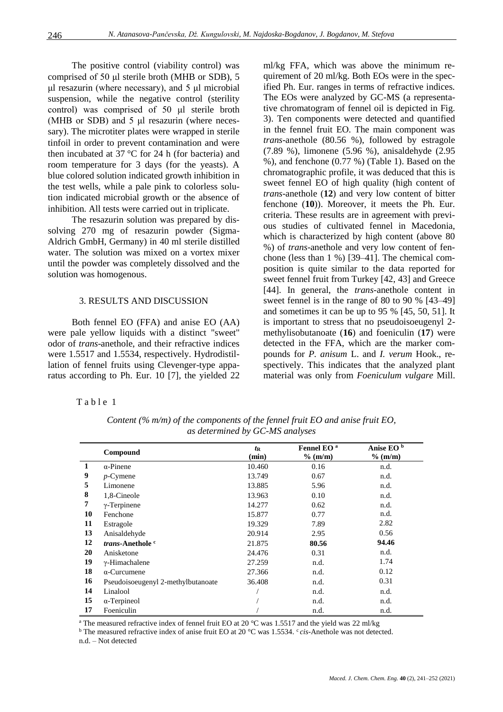The positive control (viability control) was comprised of 50 μl sterile broth (MHB or SDB), 5 μl resazurin (where necessary), and 5 μl microbial suspension, while the negative control (sterility control) was comprised of 50 μl sterile broth (MHB or SDB) and 5 μl resazurin (where necessary). The microtiter plates were wrapped in sterile tinfoil in order to prevent contamination and were then incubated at 37 °C for 24 h (for bacteria) and room temperature for 3 days (for the yeasts). A blue colored solution indicated growth inhibition in the test wells, while a pale pink to colorless solution indicated microbial growth or the absence of inhibition. All tests were carried out in triplicate.

The resazurin solution was prepared by dissolving 270 mg of resazurin powder (Sigma-Aldrich GmbH, Germany) in 40 ml sterile distilled water. The solution was mixed on a vortex mixer until the powder was completely dissolved and the solution was homogenous.

### 3. RESULTS AND DISCUSSION

Both fennel EO (FFA) and anise EO (AA) were pale yellow liquids with a distinct "sweet" odor of *trans*-anethole, and their refractive indices were 1.5517 and 1.5534, respectively. Hydrodistillation of fennel fruits using Clevenger-type apparatus according to Ph. Eur. 10 [7], the yielded 22 ml/kg FFA, which was above the minimum requirement of 20 ml/kg. Both EOs were in the specified Ph. Eur. ranges in terms of refractive indices. The EOs were analyzed by GC-MS (a representative chromatogram of fennel oil is depicted in Fig. 3). Ten components were detected and quantified in the fennel fruit EO. The main component was *trans*-anethole (80.56 %), followed by estragole (7.89 %), limonene (5.96 %), anisaldehyde (2.95 %), and fenchone (0.77 %) (Table 1). Based on the chromatographic profile, it was deduced that this is sweet fennel EO of high quality (high content of *trans*-anethole (**12**) and very low content of bitter fenchone (**10**)). Moreover, it meets the Ph. Eur. criteria. These results are in agreement with previous studies of cultivated fennel in Macedonia, which is characterized by high content (above 80 %) of *trans*-anethole and very low content of fenchone (less than 1 %) [39–41]. The chemical composition is quite similar to the data reported for sweet fennel fruit from Turkey [42, 43] and Greece [44]. In general, the *trans-*anethole content in sweet fennel is in the range of 80 to 90 % [43–49] and sometimes it can be up to 95 % [45, 50, 51]. It is important to stress that no pseudoisoeugenyl 2 methylisobutanoate (**16**) and foeniculin (**17**) were detected in the FFA, which are the marker compounds for *P. anisum* L. and *I. verum* Hook., respectively. This indicates that the analyzed plant material was only from *Foeniculum vulgare* Mill.

|  | able |  |  |  |  |
|--|------|--|--|--|--|
|--|------|--|--|--|--|

|    | Compound                            | $t_{\rm R}$<br>(min) | Fennel EO <sup>a</sup><br>$%$ (m/m) | Anise EO <sup>b</sup><br>$%$ (m/m) |
|----|-------------------------------------|----------------------|-------------------------------------|------------------------------------|
| 1  | $\alpha$ -Pinene                    | 10.460               | 0.16                                | n.d.                               |
| 9  | $p$ -Cymene                         | 13.749               | 0.67                                | n.d.                               |
| 5  | Limonene                            | 13.885               | 5.96                                | n.d.                               |
| 8  | 1,8-Cineole                         | 13.963               | 0.10                                | n.d.                               |
| 7  | $\gamma$ -Terpinene                 | 14.277               | 0.62                                | n.d.                               |
| 10 | Fenchone                            | 15.877               | 0.77                                | n.d.                               |
| 11 | Estragole                           | 19.329               | 7.89                                | 2.82                               |
| 13 | Anisaldehyde                        | 20.914               | 2.95                                | 0.56                               |
| 12 | <i>trans</i> -Anethole <sup>c</sup> | 21.875               | 80.56                               | 94.46                              |
| 20 | Anisketone                          | 24.476               | 0.31                                | n.d.                               |
| 19 | $\gamma$ -Himachalene               | 27.259               | n.d.                                | 1.74                               |
| 18 | $\alpha$ -Curcumene                 | 27.366               | n.d.                                | 0.12                               |
| 16 | Pseudoisoeugenyl 2-methylbutanoate  | 36.408               | n.d.                                | 0.31                               |
| 14 | Linalool                            |                      | n.d.                                | n.d.                               |
| 15 | $\alpha$ -Terpineol                 |                      | n.d.                                | n.d.                               |
| 17 | Foeniculin                          |                      | n.d.                                | n.d.                               |

*Content (% m/m) of the components of the fennel fruit EO and anise fruit EO, as determined by GC-MS analyses*

<sup>a</sup> The measured refractive index of fennel fruit EO at 20 °C was 1.5517 and the yield was 22 ml/kg

<sup>b</sup> The measured refractive index of anise fruit EO at 20 °C was 1.5534. <sup>c</sup> *cis*-Anethole was not detected.

n.d. – Not detected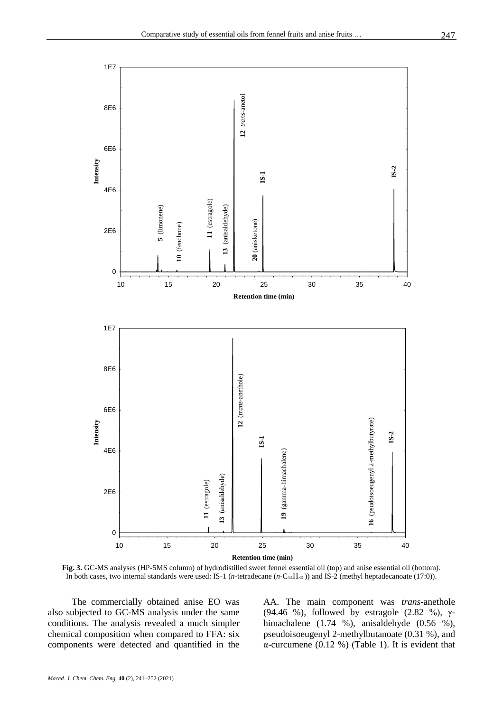

**Fig. 3.** GC-MS analyses (HP-5MS column) of hydrodistilled sweet fennel essential oil (top) and anise essential oil (bottom). In both cases, two internal standards were used: IS-1 (*n*-tetradecane (*n*-C<sub>14</sub>H<sub>30</sub>)) and IS-2 (methyl heptadecanoate (17:0)).

The commercially obtained anise EO was also subjected to GC-MS analysis under the same conditions. The analysis revealed a much simpler chemical composition when compared to FFA: six components were detected and quantified in the AA. The main component was *trans*-anethole (94.46 %), followed by estragole (2.82 %),  $\gamma$ himachalene (1.74 %), anisaldehyde (0.56 %), pseudoisoeugenyl 2-methylbutanoate (0.31 %), and α-curcumene (0.12 %) (Table 1). It is evident that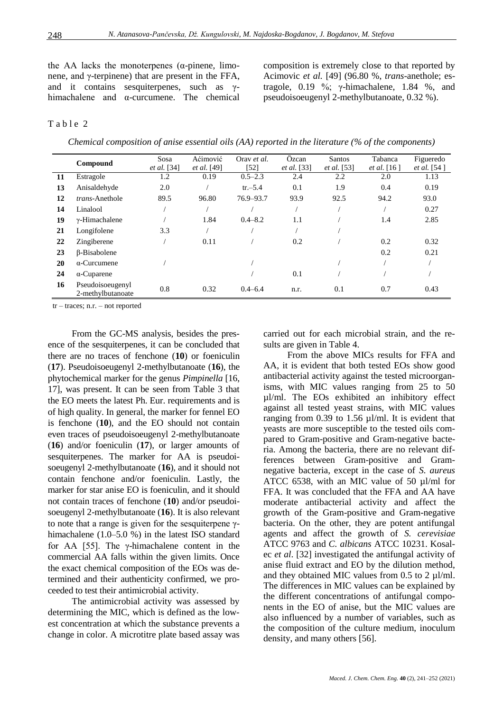the AA lacks the monoterpenes ( $\alpha$ -pinene, limonene, and  $γ$ -terpinene) that are present in the FFA, and it contains sesquiterpenes, such as γhimachalene and α-curcumene. The chemical composition is extremely close to that reported by Acimovic *et al.* [49] (96.80 %, *trans*-anethole; estragole, 0.19 %; γ-himachalene, 1.84 %, and pseudoisoeugenyl 2-methylbutanoate, 0.32 %).

### Table 2

*Chemical composition of anise essential oils (AA) reported in the literature (% of the components)*

|    | Compound                              | Sosa               | Aćimović           | Oray et al. | Özcan              | Santos             | Tabanca            | Figueredo          |
|----|---------------------------------------|--------------------|--------------------|-------------|--------------------|--------------------|--------------------|--------------------|
|    |                                       | <i>et al.</i> [34] | <i>et al.</i> [49] | [52]        | <i>et al.</i> [33] | <i>et al.</i> [53] | <i>et al.</i> [16] | <i>et al.</i> [54] |
| 11 | Estragole                             | 1.2                | 0.19               | $0.5 - 2.3$ | 2.4                | 2.2                | 2.0                | 1.13               |
| 13 | Anisaldehyde                          | 2.0                |                    | $tr - 5.4$  | 0.1                | 1.9                | 0.4                | 0.19               |
| 12 | <i>trans</i> -Anethole                | 89.5               | 96.80              | 76.9-93.7   | 93.9               | 92.5               | 94.2               | 93.0               |
| 14 | Linalool                              |                    |                    |             |                    |                    |                    | 0.27               |
| 19 | $\gamma$ -Himachalene                 |                    | 1.84               | $0.4 - 8.2$ | 1.1                |                    | 1.4                | 2.85               |
| 21 | Longifolene                           | 3.3                |                    |             |                    |                    |                    |                    |
| 22 | Zingiberene                           |                    | 0.11               |             | 0.2                |                    | 0.2                | 0.32               |
| 23 | β-Bisabolene                          |                    |                    |             |                    |                    | 0.2                | 0.21               |
| 20 | $\alpha$ -Curcumene                   |                    |                    |             |                    |                    |                    |                    |
| 24 | $\alpha$ -Cuparene                    |                    |                    |             | 0.1                |                    |                    |                    |
| 16 | Pseudoisoeugenyl<br>2-methylbutanoate | 0.8                | 0.32               | $0.4 - 6.4$ | n.r.               | 0.1                | 0.7                | 0.43               |

tr – traces; n.r. – not reported

From the GC-MS analysis, besides the presence of the sesquiterpenes, it can be concluded that there are no traces of fenchone (**10**) or foeniculin (**17**). Pseudoisoeugenyl 2-methylbutanoate (**16**), the phytochemical marker for the genus *Pimpinella* [16, 17], was present. It can be seen from Table 3 that the EO meets the latest Ph. Eur. requirements and is of high quality. In general, the marker for fennel EO is fenchone (**10**), and the EO should not contain even traces of pseudoisoeugenyl 2-methylbutanoate (**16**) and/or foeniculin (**17**), or larger amounts of sesquiterpenes. The marker for AA is pseudoisoeugenyl 2-methylbutanoate (**16**), and it should not contain fenchone and/or foeniculin. Lastly, the marker for star anise EO is foeniculin, and it should not contain traces of fenchone (**10**) and/or pseudoisoeugenyl 2-methylbutanoate (**16**). It is also relevant to note that a range is given for the sesquiterpene γhimachalene (1.0–5.0 %) in the latest ISO standard for AA [55]. The γ-himachalene content in the commercial AA falls within the given limits. Once the exact chemical composition of the EOs was determined and their authenticity confirmed, we proceeded to test their antimicrobial activity.

The antimicrobial activity was assessed by determining the MIC, which is defined as the lowest concentration at which the substance prevents a change in color. A microtitre plate based assay was

carried out for each microbial strain, and the results are given in Table 4.

From the above MICs results for FFA and AA, it is evident that both tested EOs show good antibacterial activity against the tested microorganisms, with MIC values ranging from 25 to 50 µl/ml. The EOs exhibited an inhibitory effect against all tested yeast strains, with MIC values ranging from 0.39 to 1.56 µl/ml. It is evident that yeasts are more susceptible to the tested oils compared to Gram-positive and Gram-negative bacteria. Among the bacteria, there are no relevant differences between Gram-positive and Gramnegative bacteria, except in the case of *S. aureus* ATCC 6538, with an MIC value of 50 µl/ml for FFA. It was concluded that the FFA and AA have moderate antibacterial activity and affect the growth of the Gram-positive and Gram-negative bacteria. On the other, they are potent antifungal agents and affect the growth of *S. cerevisiae* ATCC 9763 and *C. albicans* ATCC 10231. Kosalec *et al*. [32] investigated the antifungal activity of anise fluid extract and EO by the dilution method, and they obtained MIC values from  $0.5$  to  $2 \mu l/ml$ . The differences in MIC values can be explained by the different concentrations of antifungal components in the EO of anise, but the MIC values are also influenced by a number of variables, such as the composition of the culture medium, inoculum density, and many others [56].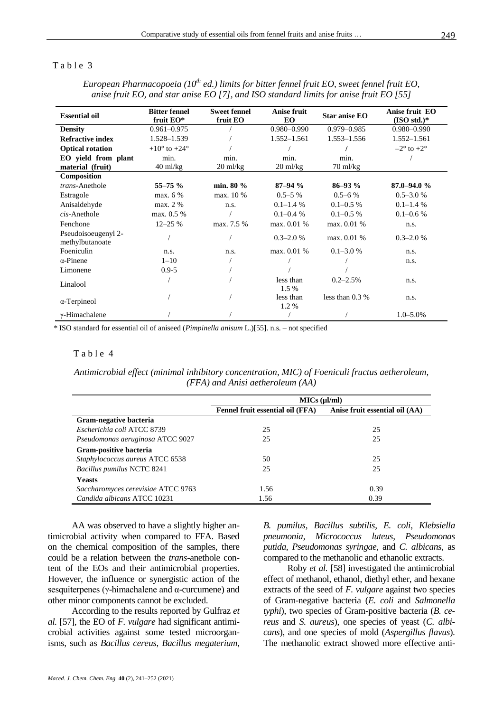## Table 3

| <b>Essential oil</b>                   | <b>Bitter fennel</b><br>fruit EO* | <b>Sweet fennel</b><br>fruit EO | Anise fruit<br><b>EO</b> | <b>Star anise EO</b> | Anise fruit EO<br>$(ISOstd.)*$ |
|----------------------------------------|-----------------------------------|---------------------------------|--------------------------|----------------------|--------------------------------|
| <b>Density</b>                         | $0.961 - 0.975$                   |                                 | $0.980 - 0.990$          | $0.979 - 0.985$      | $0.980 - 0.990$                |
| <b>Refractive index</b>                | 1.528-1.539                       |                                 | $1.552 - 1.561$          | $1.553 - 1.556$      | 1.552-1.561                    |
| <b>Optical rotation</b>                | $+10^{\circ}$ to $+24^{\circ}$    |                                 |                          |                      | $-2^{\circ}$ to $+2^{\circ}$   |
| EO yield from plant                    | min.                              | min.                            | min.                     | min.                 |                                |
| material (fruit)                       | $40$ ml/kg                        | $20 \text{ ml/kg}$              | $20 \text{ ml/kg}$       | $70 \text{ ml/kg}$   |                                |
| Composition                            |                                   |                                 |                          |                      |                                |
| trans-Anethole                         | $55 - 75 \%$                      | min. 80 %                       | $87 - 94 %$              | $86 - 93\%$          | $87.0 - 94.0%$                 |
| Estragole                              | max. 6 %                          | max. 10 %                       | $0.5 - 5\%$              | $0.5 - 6\%$          | $0.5 - 3.0 %$                  |
| Anisaldehyde                           | max. 2 %                          | n.s.                            | $0.1 - 1.4\%$            | $0.1 - 0.5\%$        | $0.1 - 1.4\%$                  |
| $cis$ -Anethole                        | max. 0.5 %                        |                                 | $0.1 - 0.4 %$            | $0.1 - 0.5\%$        | $0.1 - 0.6 %$                  |
| Fenchone                               | $12 - 25%$                        | max. 7.5 %                      | max. 0.01 %              | max. 0.01 %          | n.s.                           |
| Pseudoisoeugenyl 2-<br>methylbutanoate |                                   |                                 | $0.3 - 2.0 %$            | max. 0.01 %          | $0.3 - 2.0 %$                  |
| Foeniculin                             | n.s.                              | n.s.                            | max. 0.01 %              | $0.1 - 3.0 %$        | n.s.                           |
| $\alpha$ -Pinene                       | $1 - 10$                          |                                 |                          |                      | n.s.                           |
| Limonene                               | $0.9 - 5$                         |                                 |                          |                      |                                |
| Linalool                               |                                   |                                 | less than<br>1.5 %       | $0.2 - 2.5\%$        | n.s.                           |
| $\alpha$ -Terpineol                    |                                   |                                 | less than<br>1.2%        | less than $0.3\%$    | n.s.                           |
| $\gamma$ -Himachalene                  |                                   |                                 |                          |                      | $1.0 - 5.0\%$                  |

*European Pharmacopoeia (10th ed.) limits for bitter fennel fruit EO, sweet fennel fruit EO, anise fruit EO, and star anise EO [7], and ISO standard limits for anise fruit EO [55]*

\* ISO standard for essential oil of aniseed (*Pimpinella anisum* L.)[55]. n.s. – not specified

#### Table 4

*Antimicrobial effect (minimal inhibitory concentration, MIC) of Foeniculi fructus aetheroleum, (FFA) and Anisi aetheroleum (AA)*

|                                    | MICs (ul/ml)                     |                                |  |  |
|------------------------------------|----------------------------------|--------------------------------|--|--|
|                                    | Fennel fruit essential oil (FFA) | Anise fruit essential oil (AA) |  |  |
| Gram-negative bacteria             |                                  |                                |  |  |
| Escherichia coli ATCC 8739         | 25                               | 25                             |  |  |
| Pseudomonas aeruginosa ATCC 9027   | 25                               | 25                             |  |  |
| Gram-positive bacteria             |                                  |                                |  |  |
| Staphylococcus aureus ATCC 6538    | 50                               | 25                             |  |  |
| Bacillus pumilus NCTC 8241         | 25                               | 25                             |  |  |
| <b>Yeasts</b>                      |                                  |                                |  |  |
| Saccharomyces cerevisiae ATCC 9763 | 1.56                             | 0.39                           |  |  |
| Candida albicans ATCC 10231        | 1.56                             | 0.39                           |  |  |

AA was observed to have a slightly higher antimicrobial activity when compared to FFA. Based on the chemical composition of the samples, there could be a relation between the *trans*-anethole content of the EOs and their antimicrobial properties. However, the influence or synergistic action of the sesquiterpenes (γ-himachalene and α-curcumene) and other minor components cannot be excluded.

According to the results reported by Gulfraz *et al.* [57], the EO of *F. vulgare* had significant antimicrobial activities against some tested microorganisms, such as *Bacillus cereus*, *Bacillus megaterium*, *B. pumilus, Bacillus subtilis*, *E. coli*, *Klebsiella pneumonia*, *Micrococcus luteus*, *Pseudomonas putida*, *Pseudomonas syringae,* and *C. albicans,* as compared to the methanolic and ethanolic extracts.

Roby *et al.* [58] investigated the antimicrobial effect of methanol, ethanol, diethyl ether, and hexane extracts of the seed of *F. vulgare* against two species of Gram-negative bacteria (*E. coli* and *Salmonella typhi*), two species of Gram-positive bacteria (*B. cereus* and *S. aureus*), one species of yeast (*C. albicans*), and one species of mold (*Aspergillus flavus*). The methanolic extract showed more effective anti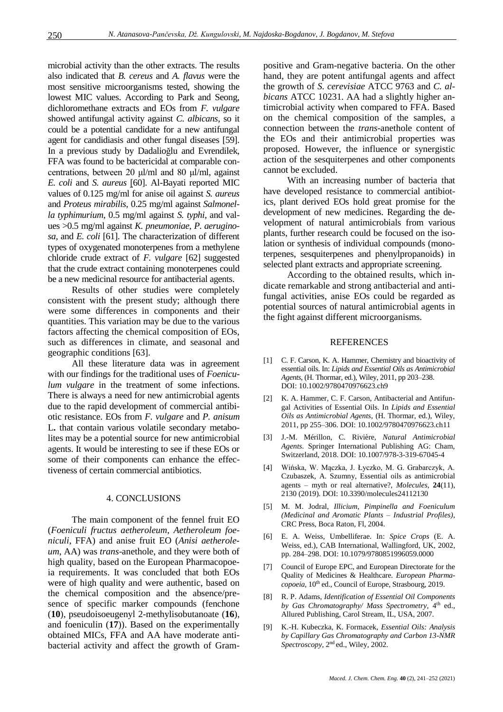microbial activity than the other extracts. The results also indicated that *B. cereus* and *A. flavus* were the most sensitive microorganisms tested, showing the lowest MIC values. According to Park and Seong, dichloromethane extracts and EOs from *F. vulgare*  showed antifungal activity against *C. albicans*, so it could be a potential candidate for a new antifungal agent for candidiasis and other fungal diseases [59]. In a previous study by Dadalioğlu and Evrendilek, FFA was found to be bactericidal at comparable concentrations, between 20 μl/ml and 80 μl/ml, against *E. coli* and *S. aureus* [60]. Al-Bayati reported MIC values of 0.125 mg/ml for anise oil against *S. aureus* and *Proteus mirabilis*, 0.25 mg/ml against *Salmonella typhimurium*, 0.5 mg/ml against *S. typhi,* and values >0.5 mg/ml against *K. pneumoniae*, *P. aeruginosa,* and *E. coli* [61]. The characterization of different types of oxygenated monoterpenes from a methylene chloride crude extract of *F. vulgare* [62] suggested that the crude extract containing monoterpenes could be a new medicinal resource for antibacterial agents.

Results of other studies were completely consistent with the present study; although there were some differences in components and their quantities. This variation may be due to the various factors affecting the chemical composition of EOs, such as differences in climate, and seasonal and geographic conditions [63].

All these literature data was in agreement with our findings for the traditional uses of *Foeniculum vulgare* in the treatment of some infections. There is always a need for new antimicrobial agents due to the rapid development of commercial antibiotic resistance. EOs from *F. vulgare* and *P. anisum* L**.** that contain various volatile secondary metabolites may be a potential source for new antimicrobial agents. It would be interesting to see if these EOs or some of their components can enhance the effectiveness of certain commercial antibiotics.

#### 4. CONCLUSIONS

The main component of the fennel fruit EO (*Foeniculi fructus aetheroleum, Aetheroleum foeniculi*, FFA) and anise fruit EO (*Anisi aetheroleum*, AA) was *trans*-anethole, and they were both of high quality, based on the European Pharmacopoeia requirements. It was concluded that both EOs were of high quality and were authentic, based on the chemical composition and the absence/presence of specific marker compounds (fenchone (**10**), pseudoisoeugenyl 2-methylisobutanoate (**16**), and foeniculin (**17**)). Based on the experimentally obtained MICs, FFA and AA have moderate antibacterial activity and affect the growth of Grampositive and Gram-negative bacteria. On the other hand, they are potent antifungal agents and affect the growth of *S. cerevisiae* ATCC 9763 and *C. albicans* ATCC 10231. AA had a slightly higher antimicrobial activity when compared to FFA. Based on the chemical composition of the samples, a connection between the *trans*-anethole content of the EOs and their antimicrobial properties was proposed. However, the influence or synergistic action of the sesquiterpenes and other components cannot be excluded.

With an increasing number of bacteria that have developed resistance to commercial antibiotics, plant derived EOs hold great promise for the development of new medicines. Regarding the development of natural antimicrobials from various plants, further research could be focused on the isolation or synthesis of individual compounds (monoterpenes, sesquiterpenes and phenylpropanoids) in selected plant extracts and appropriate screening.

According to the obtained results, which indicate remarkable and strong antibacterial and antifungal activities, anise EOs could be regarded as potential sources of natural antimicrobial agents in the fight against different microorganisms.

#### **REFERENCES**

- [1] C. F. Carson, K. A. Hammer, Chemistry and bioactivity of essential oils. In: *Lipids and Essential Oils as Antimicrobial Agents*, (H. Thormar, ed.), Wiley, 2011, pp 203–238. DOI[: 10.1002/9780470976623.ch9](https://doi.org/10.1002/9780470976623.ch9)
- [2] K. A. Hammer, C. F. Carson, Antibacterial and Antifungal Activities of Essential Oils. In *Lipids and Essential Oils as Antimicrobial Agents*, (H. Thormar, ed.), Wiley, 2011, pp 255–306. DOI: 10.1002/9780470976623.ch11
- [3] J.-M. Mérillon, C. Rivière, *Natural Antimicrobial Agents*. Springer International Publishing AG: Cham, Switzerland, 2018. DOI: 10.1007/978-3-319-67045-4
- [4] Wińska, W. Mączka, J. Łyczko, M. G. Grabarczyk, A. Czubaszek, A. Szumny, Essential oils as antimicrobial agents – myth or real alternative?, *Molecules,* **24**(11), 2130 (2019). DOI: 10.3390/molecules24112130
- [5] M. M. Jodral, *Illicium, Pimpinella and Foeniculum (Medicinal and Aromatic Plants – Industrial Profiles)*, CRC Press, Boca Raton, Fl, 2004.
- [6] E. A. Weiss, Umbelliferae. In: *Spice Crops* (E. A. Weiss, ed.), CAB International, Wallingford, UK, 2002, pp. 284–298. DOI: 10.1079/9780851996059.0000
- Council of Europe EPC, and European Directorate for the Quality of Medicines & Healthcare. *European Pharmacopoeia,* 10th ed., Council of Europe, Strasbourg, 2019.
- [8] R. P. Adams, *Identification of Essential Oil Components*  by Gas Chromatography/ Mass Spectrometry, 4<sup>th</sup> ed., Allured Publishing, Carol Stream, IL, USA, 2007.
- [9] K.-H. Kubeczka, K. Formacek, *Essential Oils: Analysis by Capillary Gas Chromatography and Carbon 13-NMR Spectroscopy*, 2nd ed., Wiley, 2002.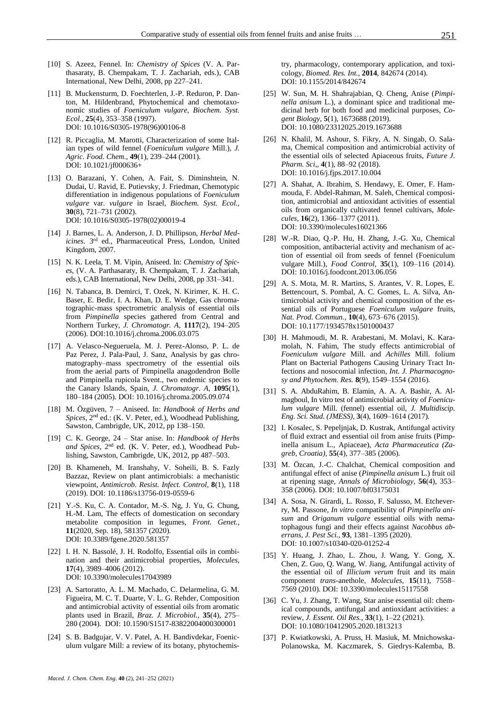- [10] S. Azeez, Fennel. In: *Chemistry of Spices* (V. A. Parthasaraty, B. Chempakam, T. J. Zachariah, eds.), CAB International, New Delhi, 2008, pp 227–241.
- [11] B. Muckensturm, D. Foechterlen, J.-P. Reduron, P. Danton, M. Hildenbrand, Phytochemical and chemotaxonomic studies of *Foeniculum vulgare*, *Biochem. Syst. Ecol.,* **25**(4), 353–358 (1997). DOI: 10.1016/S0305-1978(96)00106-8
- [12] R. Piccaglia, M. Marotti, Characterization of some Italian types of wild fennel (*Foeniculum vulgare* Mill.), *J. Agric. Food. Chem.,* **49**(1), 239–244 (2001). DOI: 10.1021/jf000636+
- [13] O. Barazani, Y. Cohen, A. Fait, S. Diminshtein, N. Dudai, U. Ravid, E. Putievsky, J. Friedman, Chemotypic differentiation in indigenous populations of *Foeniculum vulgare* var. *vulgare* in Israel, *Biochem. Syst. Ecol.,*  **30**(8), 721–731 (2002). DOI: 10.1016/S0305-1978(02)00019-4
- [14] J. Barnes, L. A. Anderson, J. D. Phillipson, *Herbal Medicines*. 3rd ed., Pharmaceutical Press, London, United Kingdom, 2007.
- [15] N. K. Leela, T. M. Vipin, Aniseed. In: *Chemistry of Spices*, (V. A. Parthasaraty, B. Chempakam, T. J. Zachariah, eds.), CAB International, New Delhi, 2008, pp 331–341.
- [16] N. Tabanca, B. Demirci, T. Ozek, N. Kirimer, K. H. C. Baser, E. Bedir, I. A. Khan, D. E. Wedge, Gas chromatographic-mass spectrometric analysis of essential oils from *Pimpinella* species gathered from Central and Northern Turkey, *J. Chromatogr. A,* **1117**(2), 194–205 (2006). DOI:10.1016/j.chroma.2006.03.075
- [17] A. Velasco-Negueruela, M. J. Perez-Alonso, P. L. de Paz Perez, J. Pala-Paul, J. Sanz, Analysis by gas chromatography–mass spectrometry of the essential oils from the aerial parts of Pimpinella anagodendron Bolle and Pimpinella rupicola Svent., two endemic species to the Canary Islands, Spain, *J. Chromatogr. A,* **1095**(1), 180–184 (2005). DOI: 10.1016/j.chroma.2005.09.074
- [18] M. Özgüven, 7 Aniseed. In: *Handbook of Herbs and Spices*, 2nd ed.: (K. V. Peter, ed.), Woodhead Publishing, Sawston, Cambrigde, UK, 2012, pp 138–150.
- [19] C. K. George, 24 Star anise. In: *Handbook of Herbs and Spices*, 2nd ed. (K. V. Peter, ed.), Woodhead Publishing, Sawston, Cambrigde, UK, 2012, pp 487–503.
- [20] B. Khameneh, M. Iranshahy, V. Soheili, B. S. Fazly Bazzaz, Review on plant antimicrobials: a mechanistic viewpoint, *Antimicrob. Resist. Infect. Control,* **8**(1), 118 (2019). DOI: 10.1186/s13756-019-0559-6
- [21] Y.-S. Ku, C. A. Contador, M.-S. Ng, J. Yu, G. Chung, H.-M. Lam, The effects of domestication on secondary metabolite composition in legumes, *Front. Genet.,*  **11**(2020, Sep. 18), 581357 (2020). DOI: 10.3389/fgene.2020.581357
- [22] I. H. N. Bassolé, J. H. Rodolfo, Essential oils in combination and their antimicrobial properties, *Molecules,*  **17**(4), 3989–4006 (2012). DOI: 10.3390/molecules17043989
- [23] A. Sartoratto, A. L. M. Machado, C. Delarmelina, G. M. Figueira, M. C. T. Duarte, V. L. G. Rehder, Composition and antimicrobial activity of essential oils from aromatic plants used in Brazil, *Braz. J. Microbiol.,* **35**(4), 275– 280 (2004). DOI: 10.1590/S1517-83822004000300001
- [24] S. B. Badgujar, V. V. Patel, A. H. Bandivdekar, Foeniculum vulgare Mill: a review of its botany, phytochemis-

try, pharmacology, contemporary application, and toxicology, *Biomed. Res. Int.,* **2014**, 842674 (2014). DOI: 10.1155/2014/842674

- [25] W. Sun, M. H. Shahrajabian, Q. Cheng, Anise (*Pimpinella anisum* L.), a dominant spice and traditional medicinal herb for both food and medicinal purposes, *Cogent Biology,* **5**(1), 1673688 (2019). DOI: 10.1080/23312025.2019.1673688
- [26] N. Khalil, M. Ashour, S. Fikry, A. N. Singab, O. Salama, Chemical composition and antimicrobial activity of the essential oils of selected Apiaceous fruits, *Future J. Pharm. Sci*,*,* **4**(1), 88–92 (2018). DOI: 10.1016/j.fjps.2017.10.004
- [27] A. Shahat, A. Ibrahim, S. Hendawy, E. Omer, F. Hammouda, F. Abdel-Rahman, M. Saleh, Chemical composition, antimicrobial and antioxidant activities of essential oils from organically cultivated fennel cultivars, *Molecules,* **16**(2), 1366–1377 (2011). DOI: 10.3390/molecules16021366
- [28] W.-R. Diao, Q.-P. Hu, H. Zhang, J.-G. Xu, Chemical composition, antibacterial activity and mechanism of action of essential oil from seeds of fennel (Foeniculum vulgare Mill.), *Food Control,* **35**(1), 109–116 (2014). DOI: 10.1016/j.foodcont.2013.06.056
- [29] A. S. Mota, M. R. Martins, S. Arantes, V. R. Lopes, E. Bettencourt, S. Pombal, A. C. Gomes, L. A. Silva, Antimicrobial activity and chemical composition of the essential oils of Portuguese *Foeniculum vulgare* fruits, *Nat. Prod. Commun.,* **10**(4), 673–676 (2015). DOI: 10.1177/1934578x1501000437
- [30] H. Mahmoudi, M. R. Arabestani, M. Molavi, K. Karamolah, N. Fahim, The study effects antimicrobial of *Foeniculum vulgare* Mill. and *Achilles* Mill. folium Plant on Bacterial Pathogens Causing Urinary Tract Infections and nosocomial infection, *Int. J. Pharmacognosy and Phytochem. Res.* **8**(9), 1549–1554 (2016).
- [31] S. A. AbduRahim, B. Elamin, A. A. A. Bashir, A. Almagboul, In vitro test of antimicrobial activity of *Foeniculum vulgare* Mill. (fennel) essential oil, *J. Multidiscip. Eng. Sci. Stud. (JMESS),* **3**(4), 1609–1614 (2017).
- [32] I. Kosalec, S. Pepeljnjak, D. Kustrak, Antifungal activity of fluid extract and essential oil from anise fruits (Pimpinella anisum L., Apiaceae), *Acta Pharmaceutica (Zagreb, Croatia),* **55**(4), 377–385 (2006).
- [33] M. Özcan, J.-C. Chalchat, Chemical composition and antifungal effect of anise (*Pimpinella anisum* L.) fruit oil at ripening stage, *Annals of Microbiology,* **56**(4), 353– 358 (2006). DOI: 10.1007/bf03175031
- [34] A. Sosa, N. Girardi, L. Rosso, F. Salusso, M. Etcheverry, M. Passone, *In vitro* compatibility of *Pimpinella anisum* and *Origanum vulgare* essential oils with nematophagous fungi and their effects against *Nacobbus aberrans*, *J. Pest Sci.,* **93**, 1381–1395 (2020). DOI: 10.1007/s10340-020-01252-4
- [35] Y. Huang, J. Zhao, L. Zhou, J. Wang, Y. Gong, X. Chen, Z. Guo, Q. Wang, W. Jiang, Antifungal activity of the essential oil of *Illicium verum* fruit and its main component *trans*-anethole, *Molecules,* **15**(11), 7558– 7569 (2010). DOI: 10.3390/molecules15117558
- [36] C. Yu, J. Zhang, T. Wang, Star anise essential oil: chemical compounds, antifungal and antioxidant activities: a review, *J. Essent. Oil Res.,* **33**(1), 1–22 (2021). DOI: 10.1080/10412905.2020.1813213
- [37] P. Kwiatkowski, A. Pruss, H. Masiuk, M. Mnichowska-Polanowska, M. Kaczmarek, S. Giedrys-Kalemba, B.